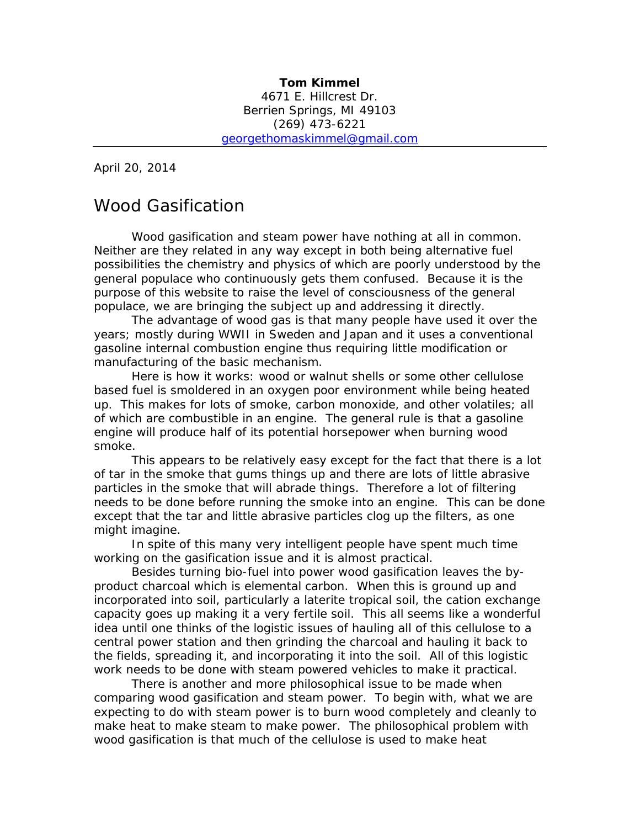April 20, 2014

# Wood Gasification

Wood gasification and steam power have nothing at all in common. Neither are they related in any way except in both being alternative fuel possibilities the chemistry and physics of which are poorly understood by the general populace who continuously gets them confused. Because it is the purpose of this website to raise the level of consciousness of the general populace, we are bringing the subject up and addressing it directly.

The advantage of wood gas is that many people have used it over the years; mostly during WWII in Sweden and Japan and it uses a conventional gasoline internal combustion engine thus requiring little modification or manufacturing of the basic mechanism.

Here is how it works: wood or walnut shells or some other cellulose based fuel is smoldered in an oxygen poor environment while being heated up. This makes for lots of smoke, carbon monoxide, and other volatiles; all of which are combustible in an engine. The general rule is that a gasoline engine will produce half of its potential horsepower when burning wood smoke.

This appears to be relatively easy except for the fact that there is a lot of tar in the smoke that gums things up and there are lots of little abrasive particles in the smoke that will abrade things. Therefore a lot of filtering needs to be done before running the smoke into an engine. This can be done except that the tar and little abrasive particles clog up the filters, as one might imagine.

In spite of this many very intelligent people have spent much time working on the gasification issue and it is almost practical.

Besides turning bio-fuel into power wood gasification leaves the byproduct charcoal which is elemental carbon. When this is ground up and incorporated into soil, particularly a laterite tropical soil, the cation exchange capacity goes up making it a very fertile soil. This all seems like a wonderful idea until one thinks of the logistic issues of hauling all of this cellulose to a central power station and then grinding the charcoal and hauling it back to the fields, spreading it, and incorporating it into the soil. All of this logistic work needs to be done with steam powered vehicles to make it practical.

There is another and more philosophical issue to be made when comparing wood gasification and steam power. To begin with, what we are expecting to do with steam power is to burn wood completely and cleanly to make heat to make steam to make power. The philosophical problem with wood gasification is that much of the cellulose is used to make heat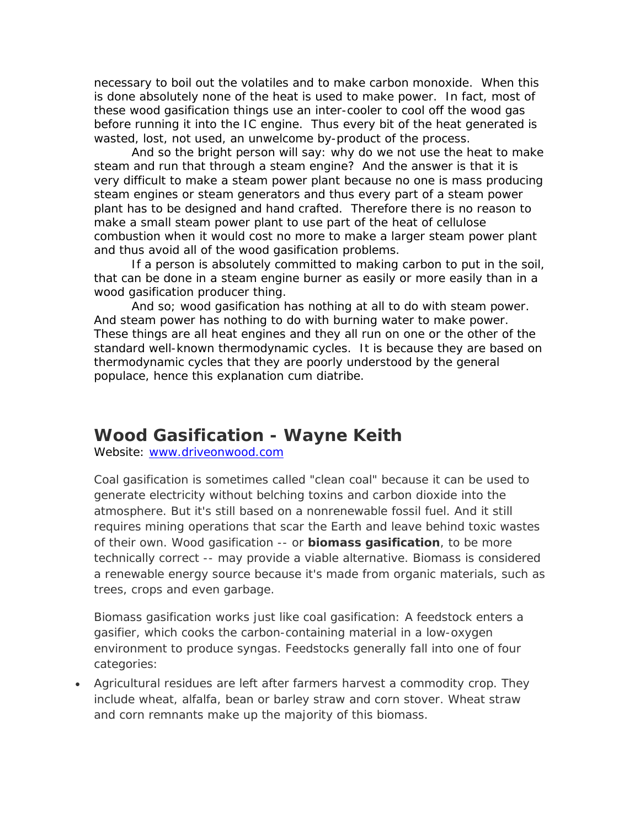necessary to boil out the volatiles and to make carbon monoxide. When this is done absolutely none of the heat is used to make power. In fact, most of these wood gasification things use an inter-cooler to cool off the wood gas before running it into the IC engine. Thus every bit of the heat generated is wasted, lost, not used, an unwelcome by-product of the process.

And so the bright person will say: why do we not use the heat to make steam and run that through a steam engine? And the answer is that it is very difficult to make a steam power plant because no one is mass producing steam engines or steam generators and thus every part of a steam power plant has to be designed and hand crafted. Therefore there is no reason to make a small steam power plant to use part of the heat of cellulose combustion when it would cost no more to make a larger steam power plant and thus avoid all of the wood gasification problems.

If a person is absolutely committed to making carbon to put in the soil, that can be done in a steam engine burner as easily or more easily than in a wood gasification producer thing.

And so; wood gasification has nothing at all to do with steam power. And steam power has nothing to do with burning water to make power. These things are all heat engines and they all run on one or the other of the standard well-known thermodynamic cycles. It is because they are based on thermodynamic cycles that they are poorly understood by the general populace, hence this explanation cum diatribe.

# **Wood Gasification - Wayne Keith**

Website: [www.driveonwood.com](http://www.driveonwood.com/)

Coal gasification is sometimes called "clean coal" because it can be used to generate electricity without belching toxins and carbon dioxide into the atmosphere. But it's still based on a nonrenewable fossil fuel. And it still requires mining operations that scar the Earth and leave behind toxic wastes of their own. Wood gasification -- or **biomass gasification**, to be more technically correct -- may provide a viable alternative. Biomass is considered a renewable energy source because it's made from organic materials, such as trees, crops and even garbage.

Biomass gasification works just like coal gasification: A feedstock enters a gasifier, which cooks the carbon-containing material in a low-oxygen environment to produce syngas. Feedstocks generally fall into one of four categories:

• Agricultural residues are left after farmers harvest a commodity crop. They include wheat, alfalfa, bean or barley straw and corn stover. Wheat straw and corn remnants make up the majority of this biomass.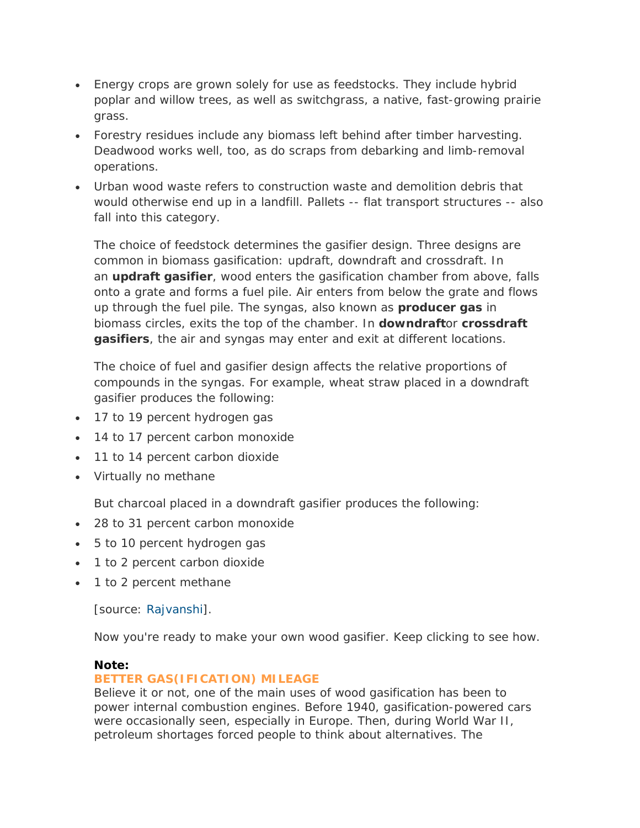- Energy crops are grown solely for use as feedstocks. They include hybrid poplar and willow trees, as well as switchgrass, a native, fast-growing prairie grass.
- Forestry residues include any biomass left behind after timber harvesting. Deadwood works well, too, as do scraps from debarking and limb-removal operations.
- Urban wood waste refers to construction waste and demolition debris that would otherwise end up in a landfill. Pallets -- flat transport structures -- also fall into this category.

The choice of feedstock determines the gasifier design. Three designs are common in biomass gasification: updraft, downdraft and crossdraft. In an **updraft gasifier**, wood enters the gasification chamber from above, falls onto a grate and forms a fuel pile. Air enters from below the grate and flows up through the fuel pile. The syngas, also known as **producer gas** in biomass circles, exits the top of the chamber. In **downdraft**or **crossdraft gasifiers**, the air and syngas may enter and exit at different locations.

The choice of fuel and gasifier design affects the relative proportions of compounds in the syngas. For example, wheat straw placed in a downdraft gasifier produces the following:

- 17 to 19 percent hydrogen gas
- 14 to 17 percent carbon monoxide
- 11 to 14 percent carbon dioxide
- Virtually no methane

But charcoal placed in a downdraft gasifier produces the following:

- 28 to 31 percent carbon monoxide
- 5 to 10 percent hydrogen gas
- 1 to 2 percent carbon dioxide
- 1 to 2 percent methane

[source: [Rajvanshi\]](http://nariphaltan.virtualave.net/gasbook.pdf).

Now you're ready to make your own wood gasifier. Keep clicking to see how.

### **Note:**

### **BETTER GAS(IFICATION) MILEAGE**

Believe it or not, one of the main uses of wood gasification has been to power internal combustion engines. Before 1940, gasification-powered cars were occasionally seen, especially in Europe. Then, during World War II, petroleum shortages forced people to think about alternatives. The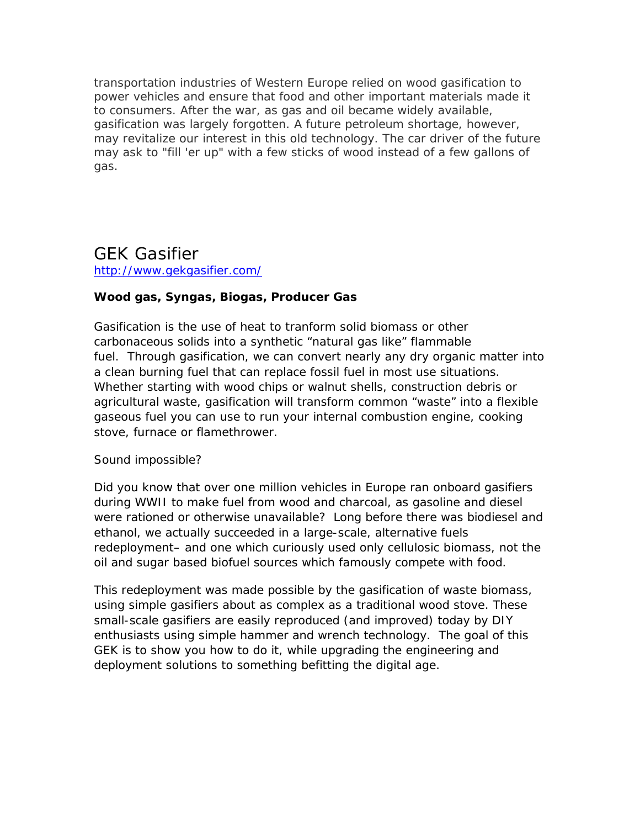transportation industries of Western Europe relied on wood gasification to power vehicles and ensure that food and other important materials made it to consumers. After the war, as gas and oil became widely available, gasification was largely forgotten. A future petroleum shortage, however, may revitalize our interest in this old technology. The car driver of the future may ask to "fill 'er up" with a few sticks of wood instead of a few gallons of gas.

## GEK Gasifier <http://www.gekgasifier.com/>

## **Wood gas, Syngas, Biogas, Producer Gas**

Gasification is the use of heat to tranform solid biomass or other carbonaceous solids into a synthetic "natural gas like" flammable fuel. Through gasification, we can convert nearly any dry organic matter into a clean burning fuel that can replace fossil fuel in most use situations. Whether starting with wood chips or walnut shells, construction debris or agricultural waste, gasification will transform common "waste" into a flexible gaseous fuel you can use to run your internal combustion engine, cooking stove, furnace or flamethrower.

### *Sound impossible?*

Did you know that over one million vehicles in Europe ran onboard gasifiers during WWII to make fuel from wood and charcoal, as gasoline and diesel were rationed or otherwise unavailable? Long before there was biodiesel and ethanol, we actually succeeded in a large-scale, alternative fuels redeployment– and one which curiously used only cellulosic biomass, not the oil and sugar based biofuel sources which famously compete with food.

This redeployment was made possible by the gasification of waste biomass, using simple gasifiers about as complex as a traditional wood stove. These small-scale gasifiers are easily reproduced (and improved) today by DIY enthusiasts using simple hammer and wrench technology. The goal of this GEK is to show you how to do it, while upgrading the engineering and deployment solutions to something befitting the digital age.